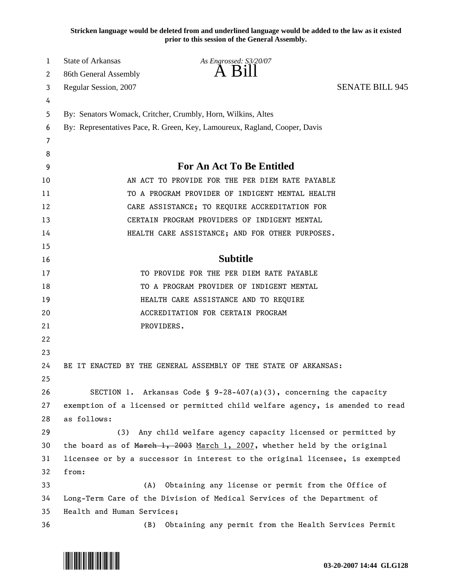**Stricken language would be deleted from and underlined language would be added to the law as it existed prior to this session of the General Assembly.**

| 1  | <b>State of Arkansas</b>         | As Engrossed: S3/20/07                                                        |                        |
|----|----------------------------------|-------------------------------------------------------------------------------|------------------------|
| 2  | 86th General Assembly            | A Bill                                                                        |                        |
| 3  | Regular Session, 2007            |                                                                               | <b>SENATE BILL 945</b> |
| 4  |                                  |                                                                               |                        |
| 5  |                                  | By: Senators Womack, Critcher, Crumbly, Horn, Wilkins, Altes                  |                        |
| 6  |                                  | By: Representatives Pace, R. Green, Key, Lamoureux, Ragland, Cooper, Davis    |                        |
| 7  |                                  |                                                                               |                        |
| 8  |                                  |                                                                               |                        |
| 9  | <b>For An Act To Be Entitled</b> |                                                                               |                        |
| 10 |                                  | AN ACT TO PROVIDE FOR THE PER DIEM RATE PAYABLE                               |                        |
| 11 |                                  | TO A PROGRAM PROVIDER OF INDIGENT MENTAL HEALTH                               |                        |
| 12 |                                  | CARE ASSISTANCE; TO REQUIRE ACCREDITATION FOR                                 |                        |
| 13 |                                  | CERTAIN PROGRAM PROVIDERS OF INDIGENT MENTAL                                  |                        |
| 14 |                                  | HEALTH CARE ASSISTANCE; AND FOR OTHER PURPOSES.                               |                        |
| 15 |                                  |                                                                               |                        |
| 16 |                                  | <b>Subtitle</b>                                                               |                        |
| 17 |                                  | TO PROVIDE FOR THE PER DIEM RATE PAYABLE                                      |                        |
| 18 |                                  | TO A PROGRAM PROVIDER OF INDIGENT MENTAL                                      |                        |
| 19 |                                  | HEALTH CARE ASSISTANCE AND TO REQUIRE                                         |                        |
| 20 |                                  | ACCREDITATION FOR CERTAIN PROGRAM                                             |                        |
| 21 |                                  | PROVIDERS.                                                                    |                        |
| 22 |                                  |                                                                               |                        |
| 23 |                                  |                                                                               |                        |
| 24 |                                  | BE IT ENACTED BY THE GENERAL ASSEMBLY OF THE STATE OF ARKANSAS:               |                        |
| 25 |                                  |                                                                               |                        |
| 26 |                                  | SECTION 1. Arkansas Code § $9-28-407(a)(3)$ , concerning the capacity         |                        |
| 27 |                                  | exemption of a licensed or permitted child welfare agency, is amended to read |                        |
| 28 | as follows:                      |                                                                               |                        |
| 29 | (3)                              | Any child welfare agency capacity licensed or permitted by                    |                        |
| 30 |                                  | the board as of March 1, 2003 March 1, 2007, whether held by the original     |                        |
| 31 |                                  | licensee or by a successor in interest to the original licensee, is exempted  |                        |
| 32 | from:                            |                                                                               |                        |
| 33 | (A)                              | Obtaining any license or permit from the Office of                            |                        |
| 34 |                                  | Long-Term Care of the Division of Medical Services of the Department of       |                        |
| 35 | Health and Human Services;       |                                                                               |                        |
| 36 | (B)                              | Obtaining any permit from the Health Services Permit                          |                        |

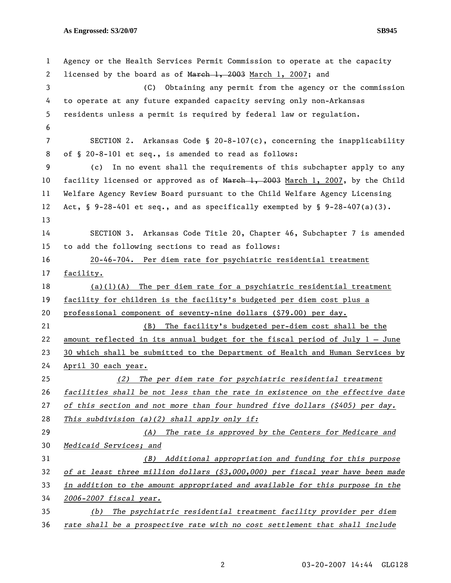**As Engrossed: S3/20/07 SB945** 

1 Agency or the Health Services Permit Commission to operate at the capacity 2 licensed by the board as of March 1, 2003 March 1, 2007; and 3 (C) Obtaining any permit from the agency or the commission 4 to operate at any future expanded capacity serving only non-Arkansas 5 residents unless a permit is required by federal law or regulation. 6 7 SECTION 2. Arkansas Code § 20-8-107(c), concerning the inapplicability 8 of § 20-8-101 et seq., is amended to read as follows: 9 (c) In no event shall the requirements of this subchapter apply to any 10 facility licensed or approved as of March 1, 2003 March 1, 2007, by the Child 11 Welfare Agency Review Board pursuant to the Child Welfare Agency Licensing 12 Act,  $\S$  9-28-401 et seq., and as specifically exempted by  $\S$  9-28-407(a)(3). 13 14 SECTION 3. Arkansas Code Title 20, Chapter 46, Subchapter 7 is amended 15 to add the following sections to read as follows: 16 20-46-704. Per diem rate for psychiatric residential treatment 17 facility. 18 (a)(1)(A) The per diem rate for a psychiatric residential treatment 19 facility for children is the facility's budgeted per diem cost plus a 20 professional component of seventy-nine dollars (\$79.00) per day. 21 (B) The facility's budgeted per-diem cost shall be the 22 amount reflected in its annual budget for the fiscal period of July 1 – June 23 30 which shall be submitted to the Department of Health and Human Services by 24 April 30 each year. 25 *(2) The per diem rate for psychiatric residential treatment*  26 *facilities shall be not less than the rate in existence on the effective date*  27 *of this section and not more than four hundred five dollars (\$405) per day.*  28 *This subdivision (a)(2) shall apply only if:* 29 *(A) The rate is approved by the Centers for Medicare and*  30 *Medicaid Services; and* 31 *(B) Additional appropriation and funding for this purpose*  32 *of at least three million dollars (\$3,000,000) per fiscal year have been made*  33 *in addition to the amount appropriated and available for this purpose in the*  34 *2006-2007 fiscal year.* 35 *(b) The psychiatric residential treatment facility provider per diem*  36 *rate shall be a prospective rate with no cost settlement that shall include*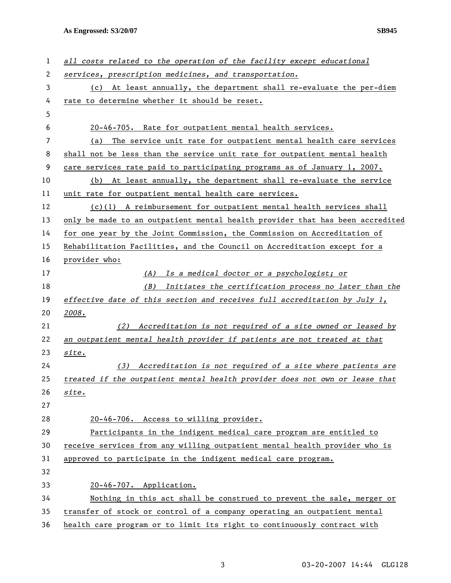**As Engrossed: S3/20/07 SB945** 

| 1  | all costs related to the operation of the facility except educational         |  |  |
|----|-------------------------------------------------------------------------------|--|--|
| 2  | services, prescription medicines, and transportation.                         |  |  |
| 3  | (c) At least annually, the department shall re-evaluate the per-diem          |  |  |
| 4  | rate to determine whether it should be reset.                                 |  |  |
| 5  |                                                                               |  |  |
| 6  | 20-46-705. Rate for outpatient mental health services.                        |  |  |
| 7  | The service unit rate for outpatient mental health care services<br>(a)       |  |  |
| 8  | shall not be less than the service unit rate for outpatient mental health     |  |  |
| 9  | care services rate paid to participating programs as of January 1, 2007.      |  |  |
| 10 | (b) At least annually, the department shall re-evaluate the service           |  |  |
| 11 | unit rate for outpatient mental health care services.                         |  |  |
| 12 | $(c)(1)$ A reimbursement for outpatient mental health services shall          |  |  |
| 13 | only be made to an outpatient mental health provider that has been accredited |  |  |
| 14 | for one year by the Joint Commission, the Commission on Accreditation of      |  |  |
| 15 | Rehabilitation Facilities, and the Council on Accreditation except for a      |  |  |
| 16 | provider who:                                                                 |  |  |
| 17 | (A) Is a medical doctor or a psychologist; or                                 |  |  |
| 18 | (B)<br>Initiates the certification process no later than the                  |  |  |
| 19 | effective date of this section and receives full accreditation by July 1,     |  |  |
| 20 | 2008.                                                                         |  |  |
| 21 | Accreditation is not required of a site owned or leased by<br>(2)             |  |  |
| 22 | an outpatient mental health provider if patients are not treated at that      |  |  |
| 23 | site.                                                                         |  |  |
| 24 | Accreditation is not required of a site where patients are<br>(3)             |  |  |
| 25 | treated if the outpatient mental health provider does not own or lease that   |  |  |
| 26 | site.                                                                         |  |  |
| 27 |                                                                               |  |  |
| 28 | 20-46-706. Access to willing provider.                                        |  |  |
| 29 | Participants in the indigent medical care program are entitled to             |  |  |
| 30 | receive services from any willing outpatient mental health provider who is    |  |  |
| 31 | approved to participate in the indigent medical care program.                 |  |  |
| 32 |                                                                               |  |  |
| 33 | 20-46-707. Application.                                                       |  |  |
| 34 | Nothing in this act shall be construed to prevent the sale, merger or         |  |  |
| 35 | transfer of stock or control of a company operating an outpatient mental      |  |  |
| 36 | health care program or to limit its right to continuously contract with       |  |  |